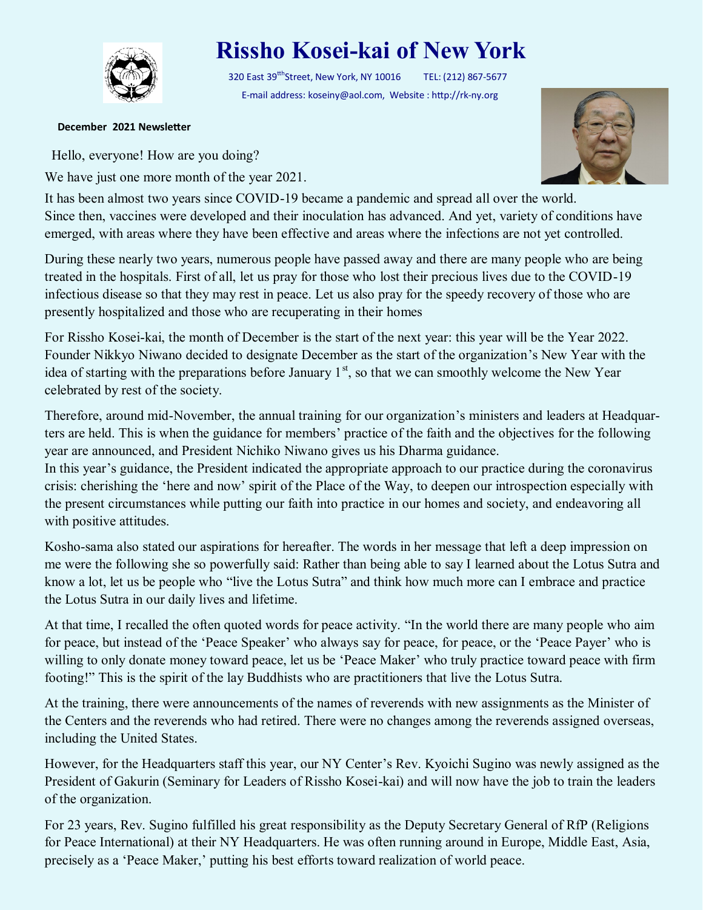

## **Rissho Kosei-kai of New York**

320 East 39<sup>tth</sup>Street, New York, NY 10016 TEL: (212) 867-5677 E-mail address: koseiny@aol.com, Website : http://rk-ny.org

## **December 2021 Newsletter**

Hello, everyone! How are you doing?

We have just one more month of the year 2021.



It has been almost two years since COVID-19 became a pandemic and spread all over the world. Since then, vaccines were developed and their inoculation has advanced. And yet, variety of conditions have emerged, with areas where they have been effective and areas where the infections are not yet controlled.

During these nearly two years, numerous people have passed away and there are many people who are being treated in the hospitals. First of all, let us pray for those who lost their precious lives due to the COVID-19 infectious disease so that they may rest in peace. Let us also pray for the speedy recovery of those who are presently hospitalized and those who are recuperating in their homes

For Rissho Kosei-kai, the month of December is the start of the next year: this year will be the Year 2022. Founder Nikkyo Niwano decided to designate December as the start of the organization's New Year with the idea of starting with the preparations before January  $1<sup>st</sup>$ , so that we can smoothly welcome the New Year celebrated by rest of the society.

Therefore, around mid-November, the annual training for our organization's ministers and leaders at Headquarters are held. This is when the guidance for members' practice of the faith and the objectives for the following year are announced, and President Nichiko Niwano gives us his Dharma guidance.

In this year's guidance, the President indicated the appropriate approach to our practice during the coronavirus crisis: cherishing the 'here and now' spirit of the Place of the Way, to deepen our introspection especially with the present circumstances while putting our faith into practice in our homes and society, and endeavoring all with positive attitudes.

Kosho-sama also stated our aspirations for hereafter. The words in her message that left a deep impression on me were the following she so powerfully said: Rather than being able to say I learned about the Lotus Sutra and know a lot, let us be people who "live the Lotus Sutra" and think how much more can I embrace and practice the Lotus Sutra in our daily lives and lifetime.

At that time, I recalled the often quoted words for peace activity. "In the world there are many people who aim for peace, but instead of the 'Peace Speaker' who always say for peace, for peace, or the 'Peace Payer' who is willing to only donate money toward peace, let us be 'Peace Maker' who truly practice toward peace with firm footing!" This is the spirit of the lay Buddhists who are practitioners that live the Lotus Sutra.

At the training, there were announcements of the names of reverends with new assignments as the Minister of the Centers and the reverends who had retired. There were no changes among the reverends assigned overseas, including the United States.

However, for the Headquarters staff this year, our NY Center's Rev. Kyoichi Sugino was newly assigned as the President of Gakurin (Seminary for Leaders of Rissho Kosei-kai) and will now have the job to train the leaders of the organization.

For 23 years, Rev. Sugino fulfilled his great responsibility as the Deputy Secretary General of RfP (Religions for Peace International) at their NY Headquarters. He was often running around in Europe, Middle East, Asia, precisely as a 'Peace Maker,' putting his best efforts toward realization of world peace.